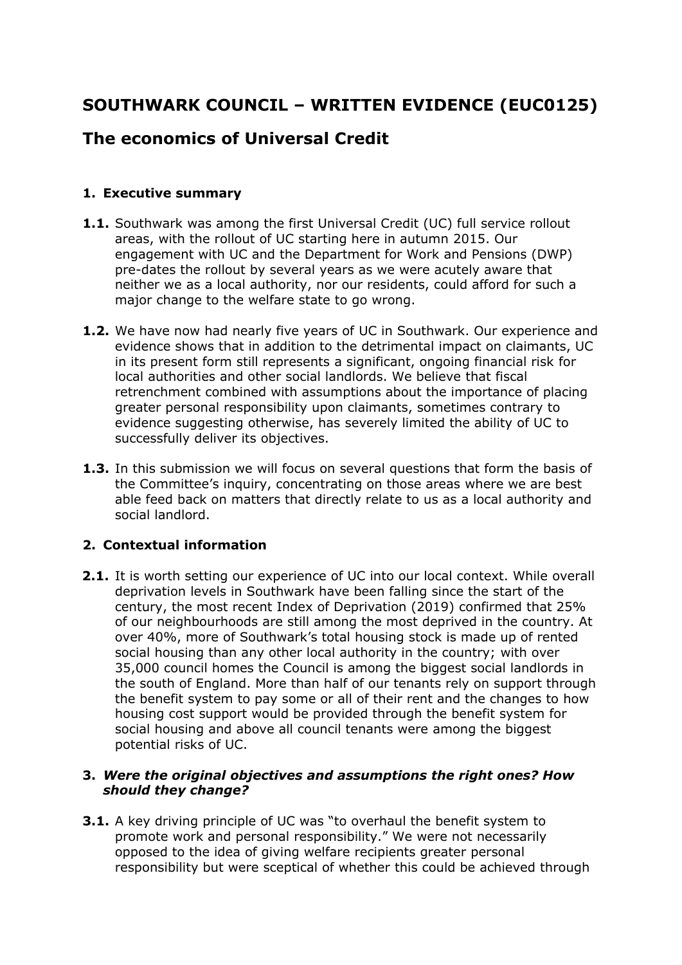# **SOUTHWARK COUNCIL – WRITTEN EVIDENCE (EUC0125)**

## **The economics of Universal Credit**

### **1. Executive summary**

- **1.1.** Southwark was among the first Universal Credit (UC) full service rollout areas, with the rollout of UC starting here in autumn 2015. Our engagement with UC and the Department for Work and Pensions (DWP) pre-dates the rollout by several years as we were acutely aware that neither we as a local authority, nor our residents, could afford for such a major change to the welfare state to go wrong.
- **1.2.** We have now had nearly five years of UC in Southwark. Our experience and evidence shows that in addition to the detrimental impact on claimants, UC in its present form still represents a significant, ongoing financial risk for local authorities and other social landlords. We believe that fiscal retrenchment combined with assumptions about the importance of placing greater personal responsibility upon claimants, sometimes contrary to evidence suggesting otherwise, has severely limited the ability of UC to successfully deliver its objectives.
- **1.3.** In this submission we will focus on several questions that form the basis of the Committee's inquiry, concentrating on those areas where we are best able feed back on matters that directly relate to us as a local authority and social landlord.

### **2. Contextual information**

**2.1.** It is worth setting our experience of UC into our local context. While overall deprivation levels in Southwark have been falling since the start of the century, the most recent Index of Deprivation (2019) confirmed that 25% of our neighbourhoods are still among the most deprived in the country. At over 40%, more of Southwark's total housing stock is made up of rented social housing than any other local authority in the country; with over 35,000 council homes the Council is among the biggest social landlords in the south of England. More than half of our tenants rely on support through the benefit system to pay some or all of their rent and the changes to how housing cost support would be provided through the benefit system for social housing and above all council tenants were among the biggest potential risks of UC.

#### **3.** *Were the original objectives and assumptions the right ones? How should they change?*

**3.1.** A key driving principle of UC was "to overhaul the benefit system to promote work and personal responsibility." We were not necessarily opposed to the idea of giving welfare recipients greater personal responsibility but were sceptical of whether this could be achieved through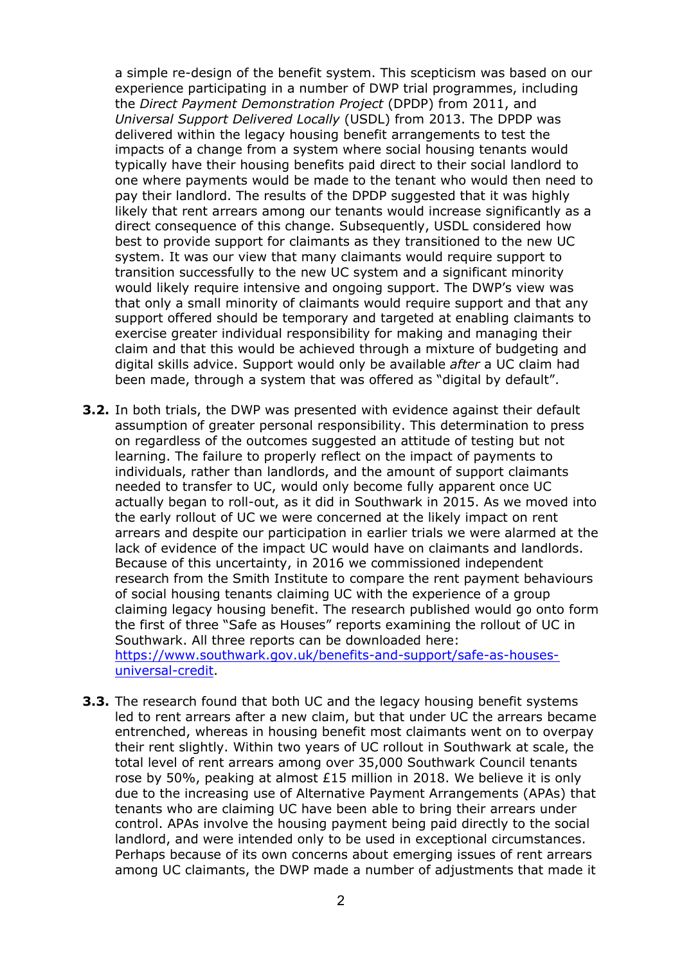a simple re-design of the benefit system. This scepticism was based on our experience participating in a number of DWP trial programmes, including the *Direct Payment Demonstration Project* (DPDP) from 2011, and *Universal Support Delivered Locally* (USDL) from 2013. The DPDP was delivered within the legacy housing benefit arrangements to test the impacts of a change from a system where social housing tenants would typically have their housing benefits paid direct to their social landlord to one where payments would be made to the tenant who would then need to pay their landlord. The results of the DPDP suggested that it was highly likely that rent arrears among our tenants would increase significantly as a direct consequence of this change. Subsequently, USDL considered how best to provide support for claimants as they transitioned to the new UC system. It was our view that many claimants would require support to transition successfully to the new UC system and a significant minority would likely require intensive and ongoing support. The DWP's view was that only a small minority of claimants would require support and that any support offered should be temporary and targeted at enabling claimants to exercise greater individual responsibility for making and managing their claim and that this would be achieved through a mixture of budgeting and digital skills advice. Support would only be available *after* a UC claim had been made, through a system that was offered as "digital by default".

- **3.2.** In both trials, the DWP was presented with evidence against their default assumption of greater personal responsibility. This determination to press on regardless of the outcomes suggested an attitude of testing but not learning. The failure to properly reflect on the impact of payments to individuals, rather than landlords, and the amount of support claimants needed to transfer to UC, would only become fully apparent once UC actually began to roll-out, as it did in Southwark in 2015. As we moved into the early rollout of UC we were concerned at the likely impact on rent arrears and despite our participation in earlier trials we were alarmed at the lack of evidence of the impact UC would have on claimants and landlords. Because of this uncertainty, in 2016 we commissioned independent research from the Smith Institute to compare the rent payment behaviours of social housing tenants claiming UC with the experience of a group claiming legacy housing benefit. The research published would go onto form the first of three "Safe as Houses" reports examining the rollout of UC in Southwark. All three reports can be downloaded here: [https://www.southwark.gov.uk/benefits-and-support/safe-as-houses](https://www.southwark.gov.uk/benefits-and-support/safe-as-houses-universal-credit)[universal-credit.](https://www.southwark.gov.uk/benefits-and-support/safe-as-houses-universal-credit)
- **3.3.** The research found that both UC and the legacy housing benefit systems led to rent arrears after a new claim, but that under UC the arrears became entrenched, whereas in housing benefit most claimants went on to overpay their rent slightly. Within two years of UC rollout in Southwark at scale, the total level of rent arrears among over 35,000 Southwark Council tenants rose by 50%, peaking at almost £15 million in 2018. We believe it is only due to the increasing use of Alternative Payment Arrangements (APAs) that tenants who are claiming UC have been able to bring their arrears under control. APAs involve the housing payment being paid directly to the social landlord, and were intended only to be used in exceptional circumstances. Perhaps because of its own concerns about emerging issues of rent arrears among UC claimants, the DWP made a number of adjustments that made it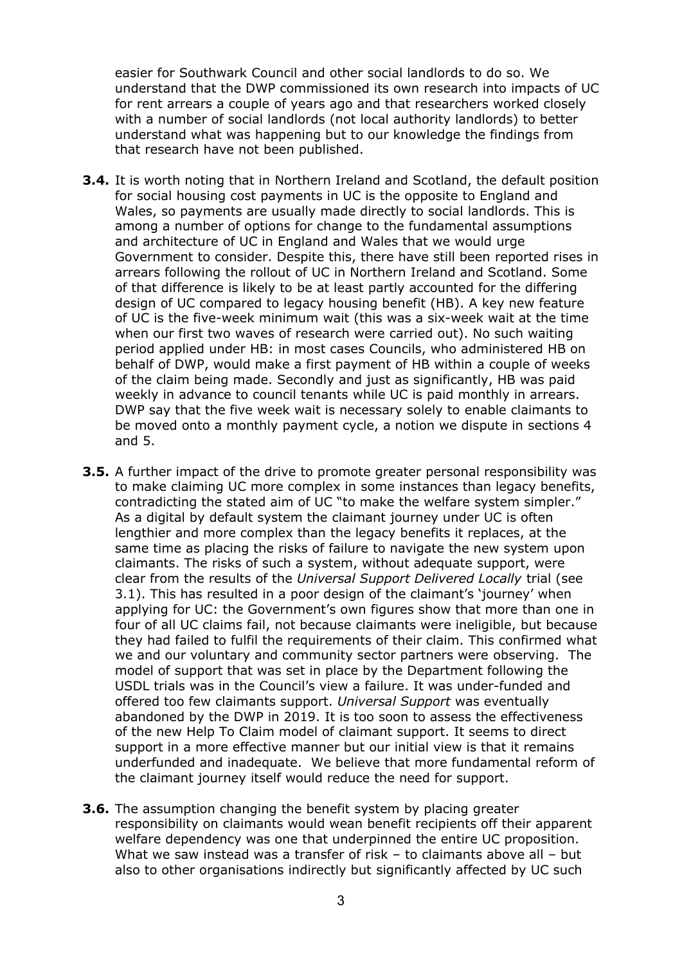easier for Southwark Council and other social landlords to do so. We understand that the DWP commissioned its own research into impacts of UC for rent arrears a couple of years ago and that researchers worked closely with a number of social landlords (not local authority landlords) to better understand what was happening but to our knowledge the findings from that research have not been published.

- **3.4.** It is worth noting that in Northern Ireland and Scotland, the default position for social housing cost payments in UC is the opposite to England and Wales, so payments are usually made directly to social landlords. This is among a number of options for change to the fundamental assumptions and architecture of UC in England and Wales that we would urge Government to consider. Despite this, there have still been reported rises in arrears following the rollout of UC in Northern Ireland and Scotland. Some of that difference is likely to be at least partly accounted for the differing design of UC compared to legacy housing benefit (HB). A key new feature of UC is the five-week minimum wait (this was a six-week wait at the time when our first two waves of research were carried out). No such waiting period applied under HB: in most cases Councils, who administered HB on behalf of DWP, would make a first payment of HB within a couple of weeks of the claim being made. Secondly and just as significantly, HB was paid weekly in advance to council tenants while UC is paid monthly in arrears. DWP say that the five week wait is necessary solely to enable claimants to be moved onto a monthly payment cycle, a notion we dispute in sections 4 and 5.
- **3.5.** A further impact of the drive to promote greater personal responsibility was to make claiming UC more complex in some instances than legacy benefits, contradicting the stated aim of UC "to make the welfare system simpler." As a digital by default system the claimant journey under UC is often lengthier and more complex than the legacy benefits it replaces, at the same time as placing the risks of failure to navigate the new system upon claimants. The risks of such a system, without adequate support, were clear from the results of the *Universal Support Delivered Locally* trial (see 3.1). This has resulted in a poor design of the claimant's 'journey' when applying for UC: the Government's own figures show that more than one in four of all UC claims fail, not because claimants were ineligible, but because they had failed to fulfil the requirements of their claim. This confirmed what we and our voluntary and community sector partners were observing. The model of support that was set in place by the Department following the USDL trials was in the Council's view a failure. It was under-funded and offered too few claimants support. *Universal Support* was eventually abandoned by the DWP in 2019. It is too soon to assess the effectiveness of the new Help To Claim model of claimant support. It seems to direct support in a more effective manner but our initial view is that it remains underfunded and inadequate. We believe that more fundamental reform of the claimant journey itself would reduce the need for support.
- **3.6.** The assumption changing the benefit system by placing greater responsibility on claimants would wean benefit recipients off their apparent welfare dependency was one that underpinned the entire UC proposition. What we saw instead was a transfer of risk – to claimants above all – but also to other organisations indirectly but significantly affected by UC such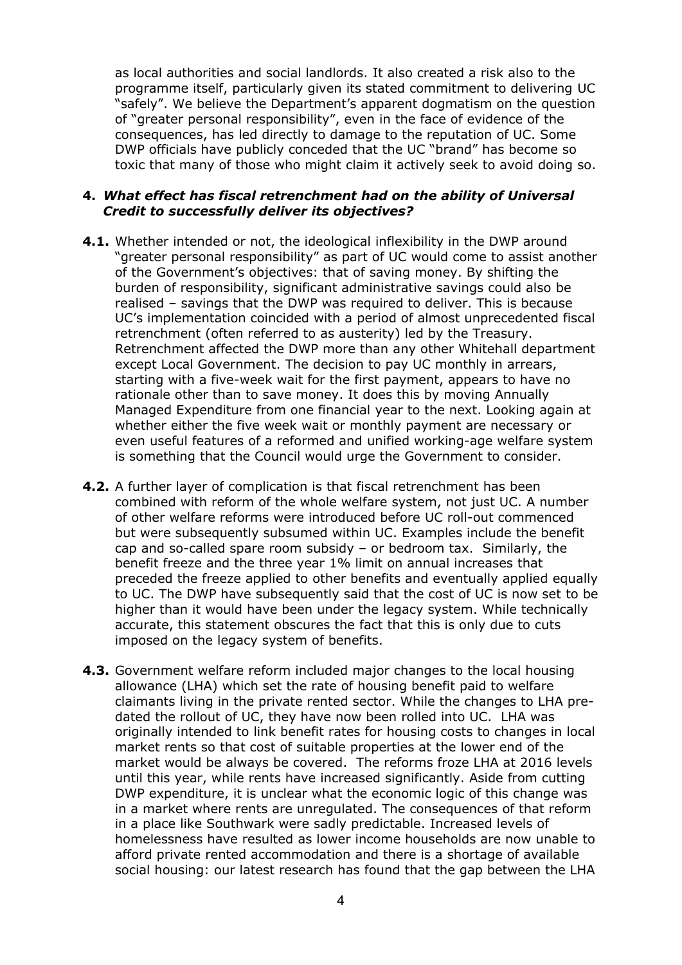as local authorities and social landlords. It also created a risk also to the programme itself, particularly given its stated commitment to delivering UC "safely". We believe the Department's apparent dogmatism on the question of "greater personal responsibility", even in the face of evidence of the consequences, has led directly to damage to the reputation of UC. Some DWP officials have publicly conceded that the UC "brand" has become so toxic that many of those who might claim it actively seek to avoid doing so.

#### **4.** *What effect has fiscal retrenchment had on the ability of Universal Credit to successfully deliver its objectives?*

- **4.1.** Whether intended or not, the ideological inflexibility in the DWP around "greater personal responsibility" as part of UC would come to assist another of the Government's objectives: that of saving money. By shifting the burden of responsibility, significant administrative savings could also be realised – savings that the DWP was required to deliver. This is because UC's implementation coincided with a period of almost unprecedented fiscal retrenchment (often referred to as austerity) led by the Treasury. Retrenchment affected the DWP more than any other Whitehall department except Local Government. The decision to pay UC monthly in arrears, starting with a five-week wait for the first payment, appears to have no rationale other than to save money. It does this by moving Annually Managed Expenditure from one financial year to the next. Looking again at whether either the five week wait or monthly payment are necessary or even useful features of a reformed and unified working-age welfare system is something that the Council would urge the Government to consider.
- **4.2.** A further layer of complication is that fiscal retrenchment has been combined with reform of the whole welfare system, not just UC. A number of other welfare reforms were introduced before UC roll-out commenced but were subsequently subsumed within UC. Examples include the benefit cap and so-called spare room subsidy – or bedroom tax. Similarly, the benefit freeze and the three year 1% limit on annual increases that preceded the freeze applied to other benefits and eventually applied equally to UC. The DWP have subsequently said that the cost of UC is now set to be higher than it would have been under the legacy system. While technically accurate, this statement obscures the fact that this is only due to cuts imposed on the legacy system of benefits.
- **4.3.** Government welfare reform included major changes to the local housing allowance (LHA) which set the rate of housing benefit paid to welfare claimants living in the private rented sector. While the changes to LHA predated the rollout of UC, they have now been rolled into UC. LHA was originally intended to link benefit rates for housing costs to changes in local market rents so that cost of suitable properties at the lower end of the market would be always be covered. The reforms froze LHA at 2016 levels until this year, while rents have increased significantly. Aside from cutting DWP expenditure, it is unclear what the economic logic of this change was in a market where rents are unregulated. The consequences of that reform in a place like Southwark were sadly predictable. Increased levels of homelessness have resulted as lower income households are now unable to afford private rented accommodation and there is a shortage of available social housing: our latest research has found that the gap between the LHA